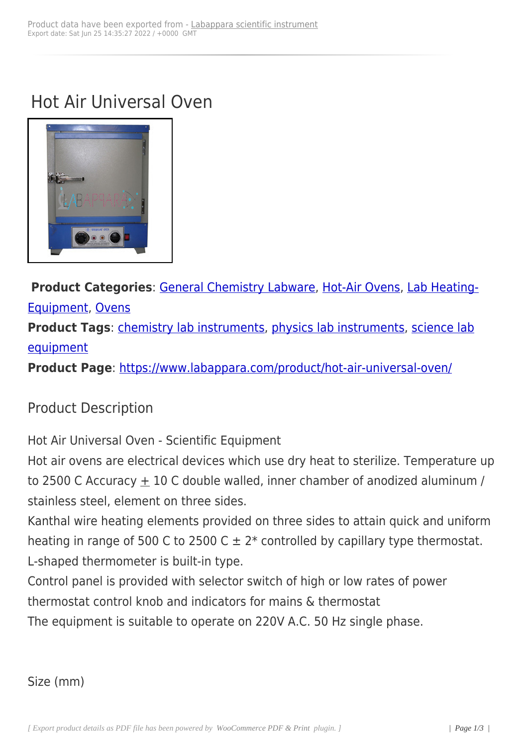## Hot Air Universal Oven



**Product Categories**: General Chemistry Labware, Hot-Air Ovens, Lab Heating-Equipment, Ovens **Product Tags: chemis[try lab instruments, physics](https://www.labappara.com/product-category/educational-equipments/chemistry-equipments/general-chemistry-labware/) l[ab instruments](https://www.labappara.com/product-category/laboratory-equipments/hot-air-ovens/)[, science lab](https://www.labappara.com/product-category/lab-heating-equipment/)** [equipment](https://www.labappara.com/product-category/lab-heating-equipment/) **Product Page**: [https://www.labappara.co](https://www.labappara.com/product-tag/chemistry-lab-instruments/)[m/product/hot-air-univers](https://www.labappara.com/product-tag/physics-lab-instruments/)[al-oven/](https://www.labappara.com/product-tag/science-lab-equipment/)

Product Descr[iption](https://www.labappara.com/product/hot-air-universal-oven/)

Hot Air Universal Oven - Scientific Equipment

Hot air ovens are electrical devices which use dry heat to sterilize. Temperature up to 2500 C Accuracy  $\pm$  10 C double walled, inner chamber of anodized aluminum / stainless steel, element on three sides.

Kanthal wire heating elements provided on three sides to attain quick and uniform heating in range of 500 C to 2500 C  $\pm$  2<sup>\*</sup> controlled by capillary type thermostat. L-shaped thermometer is built-in type.

Control panel is provided with selector switch of high or low rates of power thermostat control knob and indicators for mains & thermostat

The equipment is suitable to operate on 220V A.C. 50 Hz single phase.

Size (mm)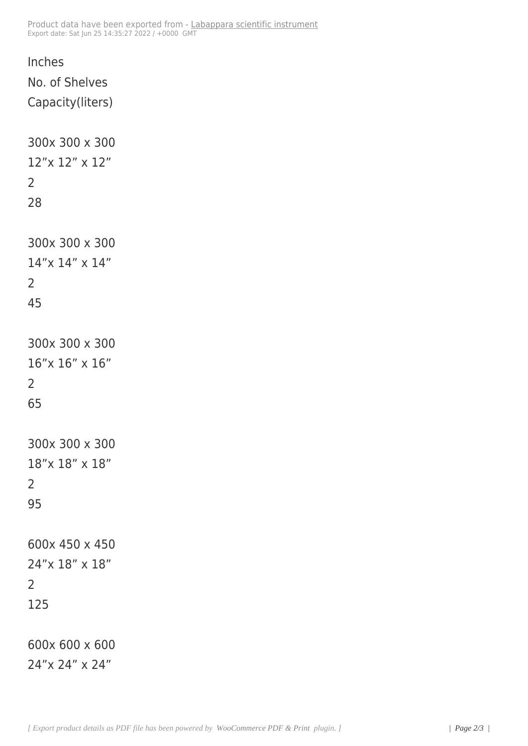```
Inches
No. of Shelves
Capacity(liters)
300x 300 x 300
12"x 12" x 12"
2
28
300x 300 x 300
14"x 14" x 14"
2
45
300x 300 x 300
16"x 16" x 16"
2
65
300x 300 x 300
18"x 18" x 18"
2
95
600x 450 x 450
24"x 18" x 18"
2
125
600x 600 x 600
24"x 24" x 24"
```